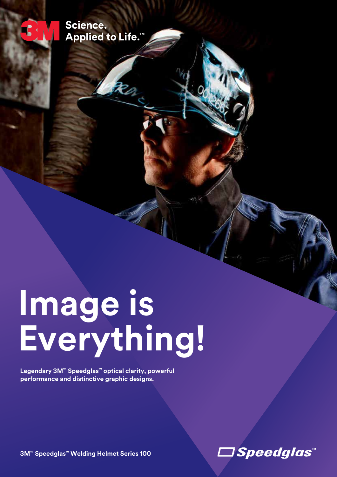Science. Applied to Life.<sup>™</sup>

# **Image is Everything!**

**Legendary 3M™ Speedglas™ optical clarity, powerful performance and distinctive graphic designs.** 

**3M™ Speedglas™ Welding Helmet Series 100**

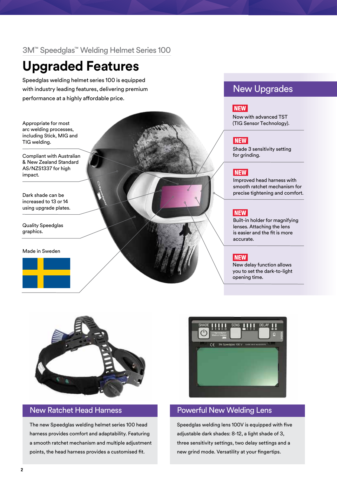# 3M™ Speedglas™ Welding Helmet Series 100

# **Upgraded Features**

Speedglas welding helmet series 100 is equipped with industry leading features, delivering premium performance at a highly affordable price.

Appropriate for most arc welding processes, including Stick, MIG and TIG welding.

Compliant with Australian & New Zealand Standard AS/NZS1337 for high impact.

Dark shade can be increased to 13 or 14 using upgrade plates.

Quality Speedglas graphics.

Made in Sweden



# New Upgrades

# **NEW**

Now with advanced TST (TIG Sensor Technology).

#### **NEW**

Shade 3 sensitivity setting for grinding.

## **NEW**

Improved head harness with smooth ratchet mechanism for precise tightening and comfort.

### **NEW**

Built-in holder for magnifying lenses. Attaching the lens is easier and the fit is more accurate.

## **NEW**

New delay function allows you to set the dark-to-light opening time.



The new Speedglas welding helmet series 100 head harness provides comfort and adaptability. Featuring a smooth ratchet mechanism and multiple adjustment points, the head harness provides a customised fit.



# New Ratchet Head Harness **Powerful New Welding Lens**

Speedglas welding lens 100V is equipped with five adjustable dark shades: 8-12, a light shade of 3, three sensitivity settings, two delay settings and a new grind mode. Versatility at your fingertips.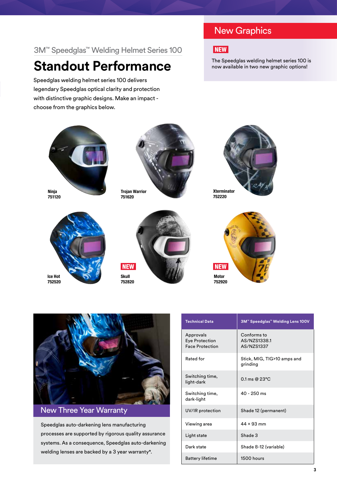# 3M™ Speedglas™ Welding Helmet Series 100

# **Standout Performance**

Speedglas welding helmet series 100 delivers legendary Speedglas optical clarity and protection with distinctive graphic designs. Make an impact choose from the graphics below.

# New Graphics



The Speedglas welding helmet series 100 is now available in two new graphic options!







Trojan Warrior 751620











# New Three Year Warranty

Speedglas auto-darkening lens manufacturing processes are supported by rigorous quality assurance systems. As a consequence, Speedglas auto-darkening welding lenses are backed by a 3 year warranty\*.

| <b>Technical Data</b>                                 | 3M™ Speedglas™ Welding Lens 100V           |
|-------------------------------------------------------|--------------------------------------------|
| Approvals<br>Eye Protection<br><b>Face Protection</b> | Conforms to<br>AS/NZS1338.1<br>AS/NZS1337  |
| Rated for                                             | Stick, MIG, TIG>10 amps and<br>grinding    |
| Switching time,<br>light-dark                         | $0.1 \text{ ms} \ @ \ 23^{\circ} \text{C}$ |
| Switching time,<br>dark-light                         | 40 - 250 ms                                |
| UV/IR protection                                      | Shade 12 (permanent)                       |
| Viewing area                                          | 44 × 93 mm                                 |
| Light state                                           | Shade 3                                    |
| Dark state                                            | Shade 8-12 (variable)                      |
| <b>Battery lifetime</b>                               | 1500 hours                                 |